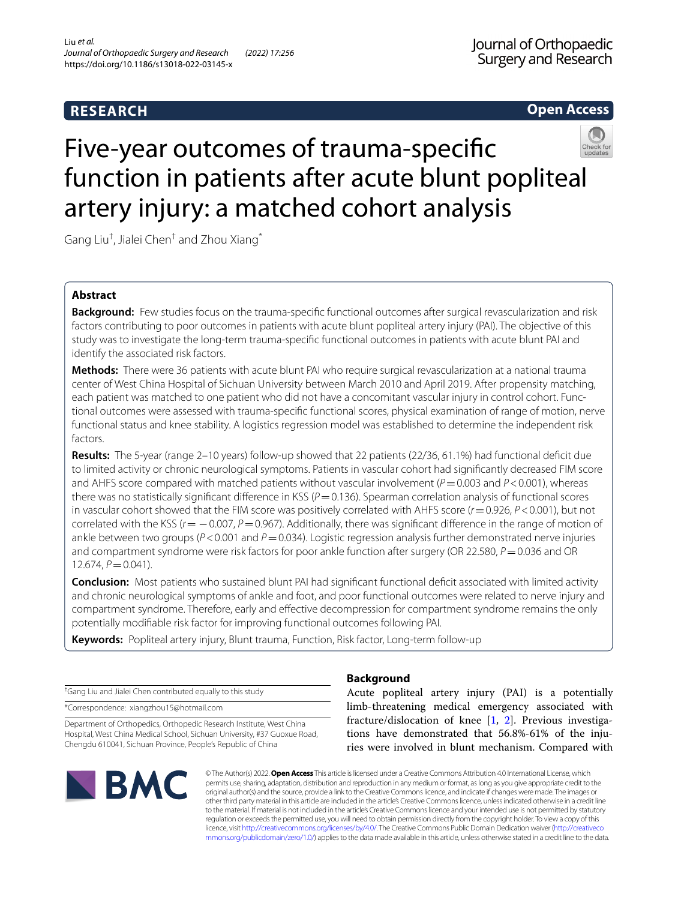# **RESEARCH**

# **Open Access**

# Five-year outcomes of trauma-specifc function in patients after acute blunt popliteal artery injury: a matched cohort analysis



Gang Liu<sup>†</sup>, Jialei Chen $^\dagger$  and Zhou Xiang $^*$ 

# **Abstract**

**Background:** Few studies focus on the trauma-specifc functional outcomes after surgical revascularization and risk factors contributing to poor outcomes in patients with acute blunt popliteal artery injury (PAI). The objective of this study was to investigate the long-term trauma-specifc functional outcomes in patients with acute blunt PAI and identify the associated risk factors.

**Methods:** There were 36 patients with acute blunt PAI who require surgical revascularization at a national trauma center of West China Hospital of Sichuan University between March 2010 and April 2019. After propensity matching, each patient was matched to one patient who did not have a concomitant vascular injury in control cohort. Functional outcomes were assessed with trauma-specifc functional scores, physical examination of range of motion, nerve functional status and knee stability. A logistics regression model was established to determine the independent risk factors.

**Results:** The 5-year (range 2–10 years) follow-up showed that 22 patients (22/36, 61.1%) had functional defcit due to limited activity or chronic neurological symptoms. Patients in vascular cohort had signifcantly decreased FIM score and AHFS score compared with matched patients without vascular involvement ( $P=0.003$  and  $P<0.001$ ), whereas there was no statistically significant difference in KSS (P=0.136). Spearman correlation analysis of functional scores in vascular cohort showed that the FIM score was positively correlated with AHFS score (*r*=0.926, *P*<0.001), but not correlated with the KSS ( $r=-0.007$ ,  $P=0.967$ ). Additionally, there was significant difference in the range of motion of ankle between two groups ( $P < 0.001$  and  $P = 0.034$ ). Logistic regression analysis further demonstrated nerve injuries and compartment syndrome were risk factors for poor ankle function after surgery (OR 22.580, *P* = 0.036 and OR 12.674, *P*=0.041).

**Conclusion:** Most patients who sustained blunt PAI had signifcant functional defcit associated with limited activity and chronic neurological symptoms of ankle and foot, and poor functional outcomes were related to nerve injury and compartment syndrome. Therefore, early and efective decompression for compartment syndrome remains the only potentially modifable risk factor for improving functional outcomes following PAI.

**Keywords:** Popliteal artery injury, Blunt trauma, Function, Risk factor, Long-term follow-up

† Gang Liu and Jialei Chen contributed equally to this study

\*Correspondence: xiangzhou15@hotmail.com

Department of Orthopedics, Orthopedic Research Institute, West China Hospital, West China Medical School, Sichuan University, #37 Guoxue Road, Chengdu 610041, Sichuan Province, People's Republic of China



# **Background**

Acute popliteal artery injury (PAI) is a potentially limb-threatening medical emergency associated with fracture/dislocation of knee [\[1](#page-6-0), [2](#page-6-1)]. Previous investigations have demonstrated that 56.8%-61% of the injuries were involved in blunt mechanism. Compared with

© The Author(s) 2022. **Open Access** This article is licensed under a Creative Commons Attribution 4.0 International License, which permits use, sharing, adaptation, distribution and reproduction in any medium or format, as long as you give appropriate credit to the original author(s) and the source, provide a link to the Creative Commons licence, and indicate if changes were made. The images or other third party material in this article are included in the article's Creative Commons licence, unless indicated otherwise in a credit line to the material. If material is not included in the article's Creative Commons licence and your intended use is not permitted by statutory regulation or exceeds the permitted use, you will need to obtain permission directly from the copyright holder. To view a copy of this licence, visit [http://creativecommons.org/licenses/by/4.0/.](http://creativecommons.org/licenses/by/4.0/) The Creative Commons Public Domain Dedication waiver ([http://creativeco](http://creativecommons.org/publicdomain/zero/1.0/) [mmons.org/publicdomain/zero/1.0/](http://creativecommons.org/publicdomain/zero/1.0/)) applies to the data made available in this article, unless otherwise stated in a credit line to the data.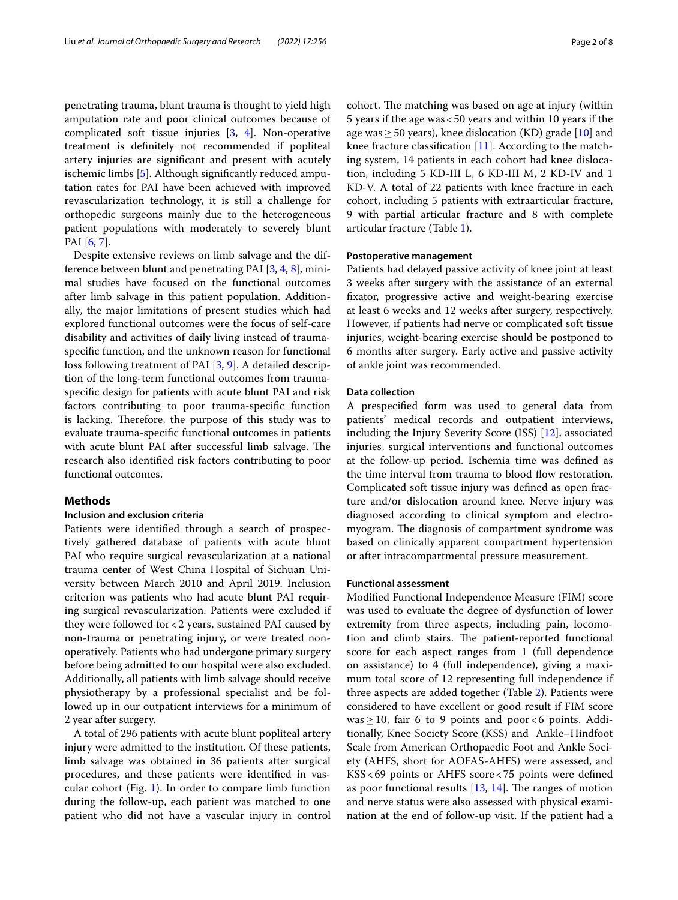penetrating trauma, blunt trauma is thought to yield high amputation rate and poor clinical outcomes because of complicated soft tissue injuries [[3,](#page-6-2) [4\]](#page-6-3). Non-operative treatment is defnitely not recommended if popliteal artery injuries are signifcant and present with acutely ischemic limbs [\[5\]](#page-6-4). Although signifcantly reduced amputation rates for PAI have been achieved with improved revascularization technology, it is still a challenge for orthopedic surgeons mainly due to the heterogeneous patient populations with moderately to severely blunt PAI [\[6](#page-6-5), [7\]](#page-6-6).

Despite extensive reviews on limb salvage and the difference between blunt and penetrating PAI [[3,](#page-6-2) [4](#page-6-3), [8](#page-6-7)], minimal studies have focused on the functional outcomes after limb salvage in this patient population. Additionally, the major limitations of present studies which had explored functional outcomes were the focus of self-care disability and activities of daily living instead of traumaspecifc function, and the unknown reason for functional loss following treatment of PAI [[3,](#page-6-2) [9](#page-6-8)]. A detailed description of the long-term functional outcomes from traumaspecifc design for patients with acute blunt PAI and risk factors contributing to poor trauma-specifc function is lacking. Therefore, the purpose of this study was to evaluate trauma-specifc functional outcomes in patients with acute blunt PAI after successful limb salvage. The research also identifed risk factors contributing to poor functional outcomes.

# **Methods**

#### **Inclusion and exclusion criteria**

Patients were identifed through a search of prospectively gathered database of patients with acute blunt PAI who require surgical revascularization at a national trauma center of West China Hospital of Sichuan University between March 2010 and April 2019. Inclusion criterion was patients who had acute blunt PAI requiring surgical revascularization. Patients were excluded if they were followed for<2 years, sustained PAI caused by non-trauma or penetrating injury, or were treated nonoperatively. Patients who had undergone primary surgery before being admitted to our hospital were also excluded. Additionally, all patients with limb salvage should receive physiotherapy by a professional specialist and be followed up in our outpatient interviews for a minimum of 2 year after surgery.

A total of 296 patients with acute blunt popliteal artery injury were admitted to the institution. Of these patients, limb salvage was obtained in 36 patients after surgical procedures, and these patients were identifed in vascular cohort (Fig. [1](#page-2-0)). In order to compare limb function during the follow-up, each patient was matched to one patient who did not have a vascular injury in control cohort. The matching was based on age at injury (within 5 years if the age was<50 years and within 10 years if the age was  $\geq$  50 years), knee dislocation (KD) grade [[10\]](#page-6-9) and knee fracture classification  $[11]$ . According to the matching system, 14 patients in each cohort had knee dislocation, including 5 KD-III L, 6 KD-III M, 2 KD-IV and 1 KD-V. A total of 22 patients with knee fracture in each cohort, including 5 patients with extraarticular fracture, 9 with partial articular fracture and 8 with complete articular fracture (Table [1](#page-2-1)).

#### **Postoperative management**

Patients had delayed passive activity of knee joint at least 3 weeks after surgery with the assistance of an external fxator, progressive active and weight-bearing exercise at least 6 weeks and 12 weeks after surgery, respectively. However, if patients had nerve or complicated soft tissue injuries, weight-bearing exercise should be postponed to 6 months after surgery. Early active and passive activity of ankle joint was recommended.

## **Data collection**

A prespecifed form was used to general data from patients' medical records and outpatient interviews, including the Injury Severity Score (ISS) [\[12](#page-6-11)], associated injuries, surgical interventions and functional outcomes at the follow-up period. Ischemia time was defned as the time interval from trauma to blood flow restoration. Complicated soft tissue injury was defned as open fracture and/or dislocation around knee. Nerve injury was diagnosed according to clinical symptom and electromyogram. The diagnosis of compartment syndrome was based on clinically apparent compartment hypertension or after intracompartmental pressure measurement.

#### **Functional assessment**

Modifed Functional Independence Measure (FIM) score was used to evaluate the degree of dysfunction of lower extremity from three aspects, including pain, locomotion and climb stairs. The patient-reported functional score for each aspect ranges from 1 (full dependence on assistance) to 4 (full independence), giving a maximum total score of 12 representing full independence if three aspects are added together (Table [2](#page-3-0)). Patients were considered to have excellent or good result if FIM score was≥10, fair 6 to 9 points and poor<6 points. Additionally, Knee Society Score (KSS) and Ankle–Hindfoot Scale from American Orthopaedic Foot and Ankle Society (AHFS, short for AOFAS-AHFS) were assessed, and KSS<69 points or AHFS score<75 points were defned as poor functional results  $[13, 14]$  $[13, 14]$  $[13, 14]$  $[13, 14]$  $[13, 14]$ . The ranges of motion and nerve status were also assessed with physical examination at the end of follow-up visit. If the patient had a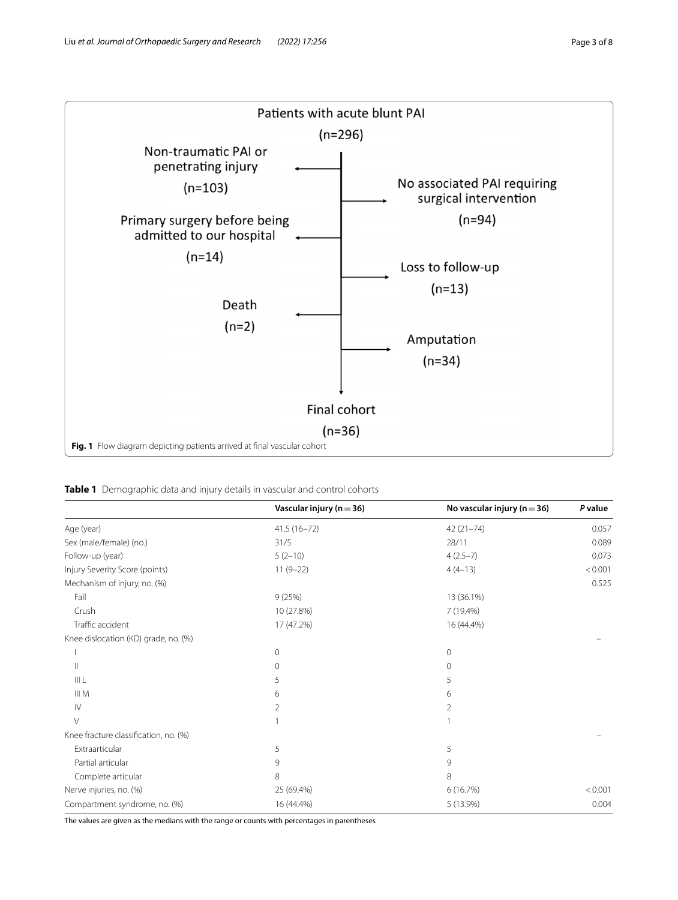

<span id="page-2-1"></span><span id="page-2-0"></span>

|                                       | Vascular injury ( $n = 36$ ) | No vascular injury ( $n = 36$ ) | P value |
|---------------------------------------|------------------------------|---------------------------------|---------|
| Age (year)                            | $41.5(16 - 72)$              | $42(21 - 74)$                   | 0.057   |
| Sex (male/female) (no.)               | 31/5                         | 28/11                           | 0.089   |
| Follow-up (year)                      | $5(2-10)$                    | $4(2.5-7)$                      | 0.073   |
| Injury Severity Score (points)        | $11(9-22)$                   | $4(4-13)$                       | < 0.001 |
| Mechanism of injury, no. (%)          |                              |                                 | 0.525   |
| Fall                                  | 9(25%)                       | 13 (36.1%)                      |         |
| Crush                                 | 10 (27.8%)                   | 7 (19.4%)                       |         |
| Traffic accident                      | 17 (47.2%)                   | 16 (44.4%)                      |         |
| Knee dislocation (KD) grade, no. (%)  |                              |                                 |         |
|                                       | 0                            | $\mathbf 0$                     |         |
| $\mathbf{I}$                          | 0                            | $\mathbf 0$                     |         |
| III L                                 | 5                            | 5                               |         |
| $\parallel\parallel M$                | 6                            | 6                               |         |
| $\mathsf{IV}$                         | 2                            | $\overline{2}$                  |         |
| V                                     |                              |                                 |         |
| Knee fracture classification, no. (%) |                              |                                 |         |
| Extraarticular                        | 5                            | 5                               |         |
| Partial articular                     | 9                            | 9                               |         |
| Complete articular                    | 8                            | 8                               |         |
| Nerve injuries, no. (%)               | 25 (69.4%)                   | 6(16.7%)                        | < 0.001 |
| Compartment syndrome, no. (%)         | 16 (44.4%)                   | 5 (13.9%)                       | 0.004   |

The values are given as the medians with the range or counts with percentages in parentheses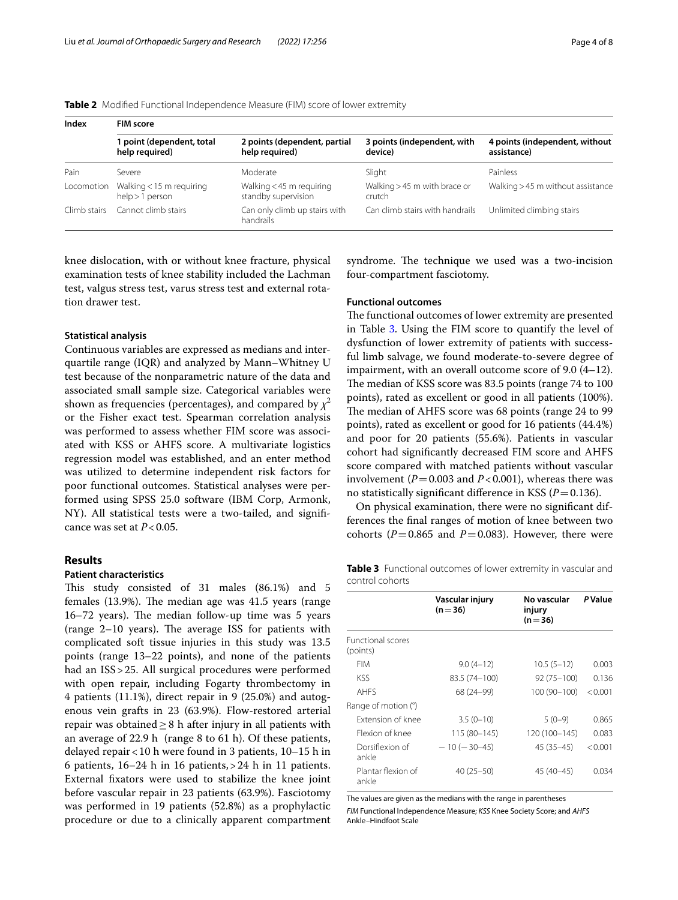#### <span id="page-3-0"></span>**Table 2** Modifed Functional Independence Measure (FIM) score of lower extremity

| Index        | <b>FIM score</b>                              |                                                 |                                        |                                               |  |
|--------------|-----------------------------------------------|-------------------------------------------------|----------------------------------------|-----------------------------------------------|--|
|              | I point (dependent, total<br>help required)   | 2 points (dependent, partial<br>help required)  | 3 points (independent, with<br>device) | 4 points (independent, without<br>assistance) |  |
| Pain         | Severe                                        | Moderate                                        | Slight                                 | Painless                                      |  |
| Locomotion   | Walking $<$ 15 m requiring<br>help > 1 person | Walking < 45 m requiring<br>standby supervision | Walking > 45 m with brace or<br>crutch | Walking > 45 m without assistance             |  |
| Climb stairs | Cannot climb stairs                           | Can only climb up stairs with<br>handrails      | Can climb stairs with handrails        | Unlimited climbing stairs                     |  |

knee dislocation, with or without knee fracture, physical examination tests of knee stability included the Lachman test, valgus stress test, varus stress test and external rotation drawer test.

## **Statistical analysis**

Continuous variables are expressed as medians and interquartile range (IQR) and analyzed by Mann–Whitney U test because of the nonparametric nature of the data and associated small sample size. Categorical variables were shown as frequencies (percentages), and compared by  $\chi^2$ or the Fisher exact test. Spearman correlation analysis was performed to assess whether FIM score was associated with KSS or AHFS score. A multivariate logistics regression model was established, and an enter method was utilized to determine independent risk factors for poor functional outcomes. Statistical analyses were performed using SPSS 25.0 software (IBM Corp, Armonk, NY). All statistical tests were a two-tailed, and signifcance was set at  $P < 0.05$ .

#### **Results**

# **Patient characteristics**

This study consisted of 31 males (86.1%) and 5 females  $(13.9\%)$ . The median age was  $41.5$  years (range  $16-72$  years). The median follow-up time was 5 years (range  $2-10$  years). The average ISS for patients with complicated soft tissue injuries in this study was 13.5 points (range 13–22 points), and none of the patients had an ISS>25. All surgical procedures were performed with open repair, including Fogarty thrombectomy in 4 patients (11.1%), direct repair in 9 (25.0%) and autogenous vein grafts in 23 (63.9%). Flow-restored arterial repair was obtained $\geq$ 8 h after injury in all patients with an average of 22.9 h (range 8 to 61 h). Of these patients, delayed repair<10 h were found in 3 patients, 10–15 h in 6 patients, 16–24 h in 16 patients,>24 h in 11 patients. External fxators were used to stabilize the knee joint before vascular repair in 23 patients (63.9%). Fasciotomy was performed in 19 patients (52.8%) as a prophylactic procedure or due to a clinically apparent compartment syndrome. The technique we used was a two-incision four-compartment fasciotomy.

## **Functional outcomes**

The functional outcomes of lower extremity are presented in Table [3.](#page-3-1) Using the FIM score to quantify the level of dysfunction of lower extremity of patients with successful limb salvage, we found moderate-to-severe degree of impairment, with an overall outcome score of 9.0 (4–12). The median of KSS score was 83.5 points (range 74 to 100 points), rated as excellent or good in all patients (100%). The median of AHFS score was 68 points (range 24 to 99 points), rated as excellent or good for 16 patients (44.4%) and poor for 20 patients (55.6%). Patients in vascular cohort had signifcantly decreased FIM score and AHFS score compared with matched patients without vascular involvement  $(P=0.003$  and  $P<0.001$ ), whereas there was no statistically significant difference in KSS ( $P=0.136$ ).

On physical examination, there were no signifcant differences the fnal ranges of motion of knee between two cohorts ( $P = 0.865$  and  $P = 0.083$ ). However, there were

<span id="page-3-1"></span>

|                 | Table 3 Functional outcomes of lower extremity in vascular and |  |  |  |
|-----------------|----------------------------------------------------------------|--|--|--|
| control cohorts |                                                                |  |  |  |

|                                      | Vascular injury<br>$(n=36)$ | No vascular<br>injury<br>$(n=36)$ | <b>P</b> Value |
|--------------------------------------|-----------------------------|-----------------------------------|----------------|
| <b>Functional scores</b><br>(points) |                             |                                   |                |
| <b>FIM</b>                           | $9.0(4-12)$                 | $10.5(5-12)$                      | 0.003          |
| KSS.                                 | 83.5 (74-100)               | 92 (75 - 100)                     | 0.136          |
| <b>AHFS</b>                          | 68 (24-99)                  | 100 (90-100)                      | < 0.001        |
| Range of motion (°)                  |                             |                                   |                |
| Extension of knee                    | $3.5(0-10)$                 | $5(0-9)$                          | 0.865          |
| Elexion of knee                      | 115 (80–145)                | 120 (100–145)                     | 0.083          |
| Dorsiflexion of<br>ankle             | $-10(-30-45)$               | $45(35-45)$                       | < 0.001        |
| Plantar flexion of<br>ankle          | $40(25 - 50)$               | $45(40-45)$                       | 0.034          |

The values are given as the medians with the range in parentheses

*FIM* Functional Independence Measure; *KSS* Knee Society Score; and *AHFS* Ankle–Hindfoot Scale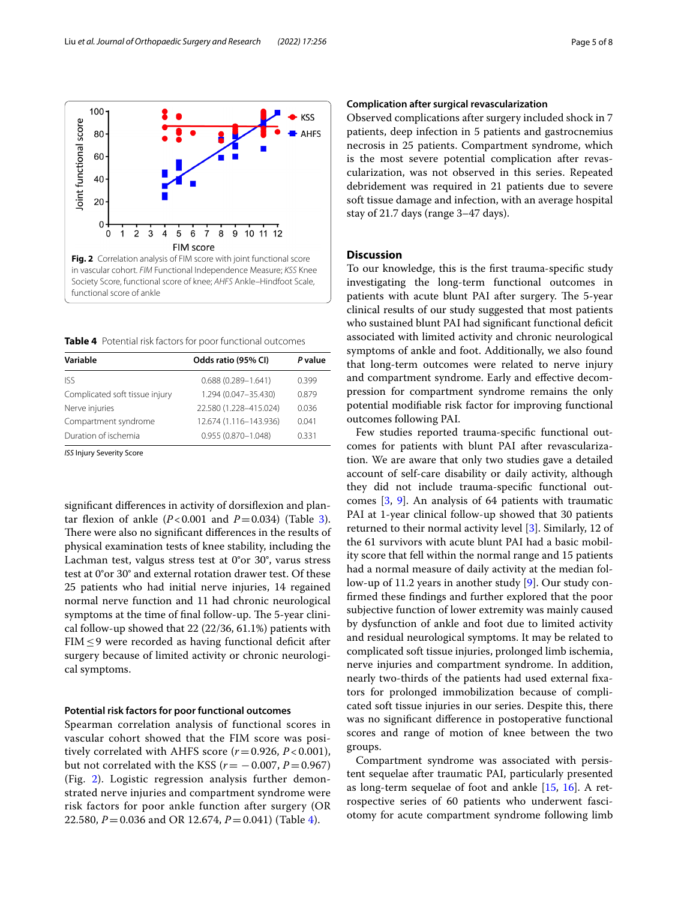

<span id="page-4-1"></span><span id="page-4-0"></span>**Table 4** Potential risk factors for poor functional outcomes

| Odds ratio (95% CI)    | P value |
|------------------------|---------|
| $0.688(0.289 - 1.641)$ | 0.399   |
| 1.294 (0.047-35.430)   | 0.879   |
| 22.580 (1.228-415.024) | 0.036   |
| 12.674 (1.116-143.936) | 0.041   |
| $0.955(0.870 - 1.048)$ | 0331    |
|                        |         |

*ISS* Injury Severity Score

signifcant diferences in activity of dorsifexion and plantar flexion of ankle  $(P<0.001$  and  $P=0.034$  $P=0.034$  $P=0.034$ ) (Table 3). There were also no significant differences in the results of physical examination tests of knee stability, including the Lachman test, valgus stress test at 0°or 30°, varus stress test at 0°or 30° and external rotation drawer test. Of these 25 patients who had initial nerve injuries, 14 regained normal nerve function and 11 had chronic neurological symptoms at the time of final follow-up. The 5-year clinical follow-up showed that 22 (22/36, 61.1%) patients with FIM $\leq$ 9 were recorded as having functional deficit after surgery because of limited activity or chronic neurological symptoms.

#### **Potential risk factors for poor functional outcomes**

Spearman correlation analysis of functional scores in vascular cohort showed that the FIM score was positively correlated with AHFS score  $(r=0.926, P<0.001)$ , but not correlated with the KSS ( $r = -0.007$ ,  $P = 0.967$ ) (Fig. [2\)](#page-4-0). Logistic regression analysis further demonstrated nerve injuries and compartment syndrome were risk factors for poor ankle function after surgery (OR 22.580, *P*=0.036 and OR 12.674, *P*=0.041) (Table [4\)](#page-4-1).

## **Complication after surgical revascularization**

Observed complications after surgery included shock in 7 patients, deep infection in 5 patients and gastrocnemius necrosis in 25 patients. Compartment syndrome, which is the most severe potential complication after revascularization, was not observed in this series. Repeated debridement was required in 21 patients due to severe soft tissue damage and infection, with an average hospital stay of 21.7 days (range 3–47 days).

# **Discussion**

To our knowledge, this is the frst trauma-specifc study investigating the long-term functional outcomes in patients with acute blunt PAI after surgery. The 5-year clinical results of our study suggested that most patients who sustained blunt PAI had significant functional deficit associated with limited activity and chronic neurological symptoms of ankle and foot. Additionally, we also found that long-term outcomes were related to nerve injury and compartment syndrome. Early and efective decompression for compartment syndrome remains the only potential modifable risk factor for improving functional outcomes following PAI.

Few studies reported trauma-specifc functional outcomes for patients with blunt PAI after revascularization. We are aware that only two studies gave a detailed account of self-care disability or daily activity, although they did not include trauma-specifc functional outcomes [[3,](#page-6-2) [9\]](#page-6-8). An analysis of 64 patients with traumatic PAI at 1-year clinical follow-up showed that 30 patients returned to their normal activity level [[3\]](#page-6-2). Similarly, 12 of the 61 survivors with acute blunt PAI had a basic mobility score that fell within the normal range and 15 patients had a normal measure of daily activity at the median follow-up of 11.2 years in another study [\[9\]](#page-6-8). Our study confrmed these fndings and further explored that the poor subjective function of lower extremity was mainly caused by dysfunction of ankle and foot due to limited activity and residual neurological symptoms. It may be related to complicated soft tissue injuries, prolonged limb ischemia, nerve injuries and compartment syndrome. In addition, nearly two-thirds of the patients had used external fxators for prolonged immobilization because of complicated soft tissue injuries in our series. Despite this, there was no signifcant diference in postoperative functional scores and range of motion of knee between the two groups.

Compartment syndrome was associated with persistent sequelae after traumatic PAI, particularly presented as long-term sequelae of foot and ankle [[15,](#page-6-14) [16](#page-6-15)]. A retrospective series of 60 patients who underwent fasciotomy for acute compartment syndrome following limb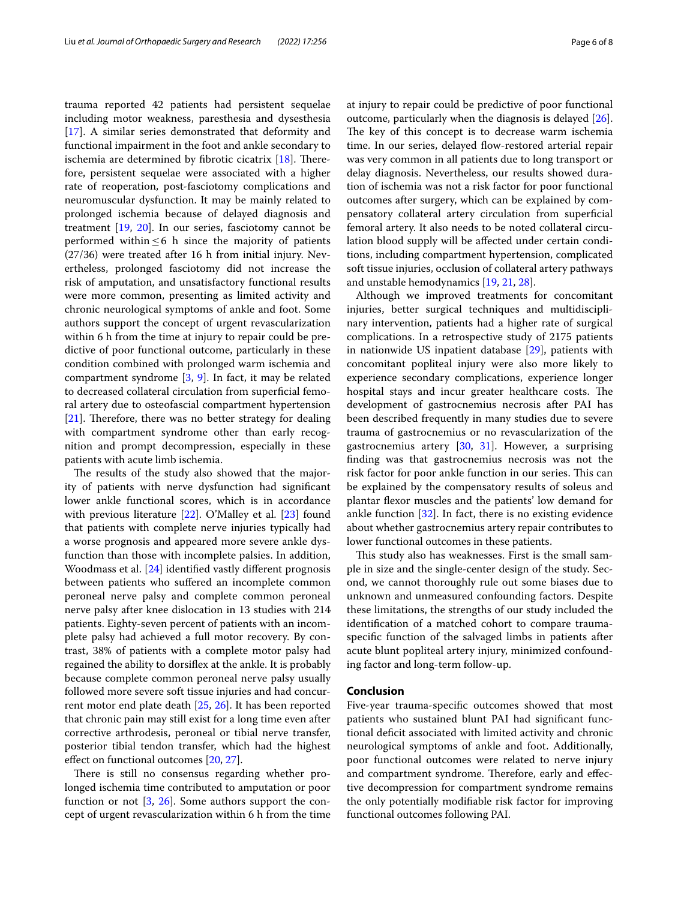trauma reported 42 patients had persistent sequelae including motor weakness, paresthesia and dysesthesia [[17\]](#page-6-16). A similar series demonstrated that deformity and functional impairment in the foot and ankle secondary to ischemia are determined by fibrotic cicatrix  $[18]$  $[18]$ . Therefore, persistent sequelae were associated with a higher rate of reoperation, post-fasciotomy complications and neuromuscular dysfunction. It may be mainly related to prolonged ischemia because of delayed diagnosis and treatment [\[19](#page-6-18), [20](#page-6-19)]. In our series, fasciotomy cannot be performed within  $\leq 6$  h since the majority of patients (27/36) were treated after 16 h from initial injury. Nevertheless, prolonged fasciotomy did not increase the risk of amputation, and unsatisfactory functional results were more common, presenting as limited activity and chronic neurological symptoms of ankle and foot. Some authors support the concept of urgent revascularization within 6 h from the time at injury to repair could be predictive of poor functional outcome, particularly in these condition combined with prolonged warm ischemia and compartment syndrome [\[3,](#page-6-2) [9](#page-6-8)]. In fact, it may be related to decreased collateral circulation from superfcial femoral artery due to osteofascial compartment hypertension  $[21]$  $[21]$ . Therefore, there was no better strategy for dealing with compartment syndrome other than early recognition and prompt decompression, especially in these patients with acute limb ischemia.

The results of the study also showed that the majority of patients with nerve dysfunction had signifcant lower ankle functional scores, which is in accordance with previous literature [[22\]](#page-6-21). O'Malley et al. [[23\]](#page-6-22) found that patients with complete nerve injuries typically had a worse prognosis and appeared more severe ankle dysfunction than those with incomplete palsies. In addition, Woodmass et al. [\[24](#page-6-23)] identifed vastly diferent prognosis between patients who sufered an incomplete common peroneal nerve palsy and complete common peroneal nerve palsy after knee dislocation in 13 studies with 214 patients. Eighty-seven percent of patients with an incomplete palsy had achieved a full motor recovery. By contrast, 38% of patients with a complete motor palsy had regained the ability to dorsifex at the ankle. It is probably because complete common peroneal nerve palsy usually followed more severe soft tissue injuries and had concurrent motor end plate death [[25,](#page-6-24) [26](#page-6-25)]. It has been reported that chronic pain may still exist for a long time even after corrective arthrodesis, peroneal or tibial nerve transfer, posterior tibial tendon transfer, which had the highest efect on functional outcomes [[20,](#page-6-19) [27\]](#page-6-26).

There is still no consensus regarding whether prolonged ischemia time contributed to amputation or poor function or not [\[3](#page-6-2), [26](#page-6-25)]. Some authors support the concept of urgent revascularization within 6 h from the time at injury to repair could be predictive of poor functional outcome, particularly when the diagnosis is delayed [\[26](#page-6-25)]. The key of this concept is to decrease warm ischemia time. In our series, delayed flow-restored arterial repair was very common in all patients due to long transport or delay diagnosis. Nevertheless, our results showed duration of ischemia was not a risk factor for poor functional outcomes after surgery, which can be explained by compensatory collateral artery circulation from superfcial femoral artery. It also needs to be noted collateral circulation blood supply will be afected under certain conditions, including compartment hypertension, complicated soft tissue injuries, occlusion of collateral artery pathways and unstable hemodynamics [[19,](#page-6-18) [21](#page-6-20), [28](#page-6-27)].

Although we improved treatments for concomitant injuries, better surgical techniques and multidisciplinary intervention, patients had a higher rate of surgical complications. In a retrospective study of 2175 patients in nationwide US inpatient database [[29\]](#page-6-28), patients with concomitant popliteal injury were also more likely to experience secondary complications, experience longer hospital stays and incur greater healthcare costs. The development of gastrocnemius necrosis after PAI has been described frequently in many studies due to severe trauma of gastrocnemius or no revascularization of the gastrocnemius artery [[30,](#page-6-29) [31](#page-7-0)]. However, a surprising fnding was that gastrocnemius necrosis was not the risk factor for poor ankle function in our series. This can be explained by the compensatory results of soleus and plantar fexor muscles and the patients' low demand for ankle function [\[32](#page-7-1)]. In fact, there is no existing evidence about whether gastrocnemius artery repair contributes to lower functional outcomes in these patients.

This study also has weaknesses. First is the small sample in size and the single-center design of the study. Second, we cannot thoroughly rule out some biases due to unknown and unmeasured confounding factors. Despite these limitations, the strengths of our study included the identifcation of a matched cohort to compare traumaspecifc function of the salvaged limbs in patients after acute blunt popliteal artery injury, minimized confounding factor and long-term follow-up.

#### **Conclusion**

Five-year trauma-specifc outcomes showed that most patients who sustained blunt PAI had signifcant functional deficit associated with limited activity and chronic neurological symptoms of ankle and foot. Additionally, poor functional outcomes were related to nerve injury and compartment syndrome. Therefore, early and effective decompression for compartment syndrome remains the only potentially modifable risk factor for improving functional outcomes following PAI.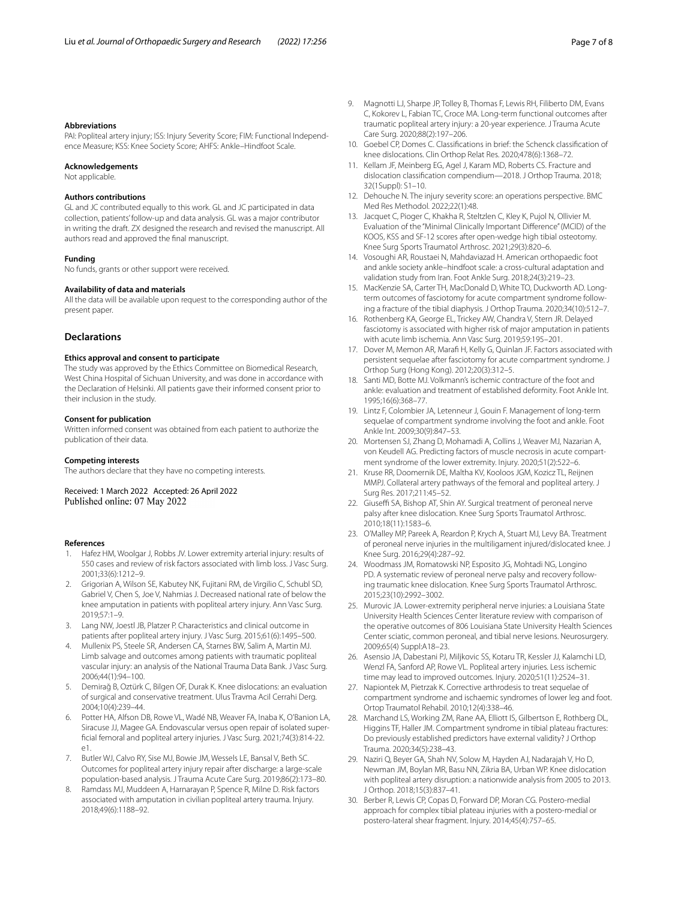#### **Abbreviations**

PAI: Popliteal artery injury; ISS: Injury Severity Score; FIM: Functional Independence Measure; KSS: Knee Society Score; AHFS: Ankle–Hindfoot Scale.

#### **Acknowledgements**

Not applicable.

#### **Authors contributions**

GL and JC contributed equally to this work. GL and JC participated in data collection, patients' follow-up and data analysis. GL was a major contributor in writing the draft. ZX designed the research and revised the manuscript. All authors read and approved the fnal manuscript.

#### **Funding**

No funds, grants or other support were received.

## **Availability of data and materials**

All the data will be available upon request to the corresponding author of the present paper.

# **Declarations**

## **Ethics approval and consent to participate**

The study was approved by the Ethics Committee on Biomedical Research, West China Hospital of Sichuan University, and was done in accordance with the Declaration of Helsinki. All patients gave their informed consent prior to their inclusion in the study.

#### **Consent for publication**

Written informed consent was obtained from each patient to authorize the publication of their data.

#### **Competing interests**

The authors declare that they have no competing interests.

Received: 1 March 2022 Accepted: 26 April 2022<br>Published online: 07 May 2022

#### **References**

- <span id="page-6-0"></span>1. Hafez HM, Woolgar J, Robbs JV. Lower extremity arterial injury: results of 550 cases and review of risk factors associated with limb loss. J Vasc Surg. 2001;33(6):1212–9.
- <span id="page-6-1"></span>2. Grigorian A, Wilson SE, Kabutey NK, Fujitani RM, de Virgilio C, Schubl SD, Gabriel V, Chen S, Joe V, Nahmias J. Decreased national rate of below the knee amputation in patients with popliteal artery injury. Ann Vasc Surg. 2019;57:1–9.
- <span id="page-6-2"></span>3. Lang NW, Joestl JB, Platzer P. Characteristics and clinical outcome in patients after popliteal artery injury. J Vasc Surg. 2015;61(6):1495–500.
- <span id="page-6-3"></span>4. Mullenix PS, Steele SR, Andersen CA, Starnes BW, Salim A, Martin MJ. Limb salvage and outcomes among patients with traumatic popliteal vascular injury: an analysis of the National Trauma Data Bank. J Vasc Surg. 2006;44(1):94–100.
- <span id="page-6-4"></span>5. Demirağ B, Oztürk C, Bilgen OF, Durak K. Knee dislocations: an evaluation of surgical and conservative treatment. Ulus Travma Acil Cerrahi Derg. 2004;10(4):239–44.
- <span id="page-6-5"></span>6. Potter HA, Alfson DB, Rowe VL, Wadé NB, Weaver FA, Inaba K, O'Banion LA, Siracuse JJ, Magee GA. Endovascular versus open repair of isolated superfcial femoral and popliteal artery injuries. J Vasc Surg. 2021;74(3):814-22. e1.
- <span id="page-6-6"></span>7. Butler WJ, Calvo RY, Sise MJ, Bowie JM, Wessels LE, Bansal V, Beth SC. Outcomes for popliteal artery injury repair after discharge: a large-scale population-based analysis. J Trauma Acute Care Surg. 2019;86(2):173–80.
- <span id="page-6-7"></span>8. Ramdass MJ, Muddeen A, Harnarayan P, Spence R, Milne D. Risk factors associated with amputation in civilian popliteal artery trauma. Injury. 2018;49(6):1188–92.
- <span id="page-6-8"></span>9. Magnotti LJ, Sharpe JP, Tolley B, Thomas F, Lewis RH, Filiberto DM, Evans C, Kokorev L, Fabian TC, Croce MA. Long-term functional outcomes after traumatic popliteal artery injury: a 20-year experience. J Trauma Acute Care Surg. 2020;88(2):197–206.
- <span id="page-6-9"></span>10. Goebel CP, Domes C. Classifcations in brief: the Schenck classifcation of knee dislocations. Clin Orthop Relat Res. 2020;478(6):1368–72.
- <span id="page-6-10"></span>11. Kellam JF, Meinberg EG, Agel J, Karam MD, Roberts CS. Fracture and dislocation classifcation compendium—2018. J Orthop Trauma. 2018; 32(1Suppl): S1–10.
- <span id="page-6-11"></span>12. Dehouche N. The injury severity score: an operations perspective. BMC Med Res Methodol. 2022;22(1):48.
- <span id="page-6-12"></span>13. Jacquet C, Pioger C, Khakha R, Steltzlen C, Kley K, Pujol N, Ollivier M. Evaluation of the "Minimal Clinically Important Diference" (MCID) of the KOOS, KSS and SF-12 scores after open-wedge high tibial osteotomy. Knee Surg Sports Traumatol Arthrosc. 2021;29(3):820–6.
- <span id="page-6-13"></span>14. Vosoughi AR, Roustaei N, Mahdaviazad H. American orthopaedic foot and ankle society ankle–hindfoot scale: a cross-cultural adaptation and validation study from Iran. Foot Ankle Surg. 2018;24(3):219–23.
- <span id="page-6-14"></span>15. MacKenzie SA, Carter TH, MacDonald D, White TO, Duckworth AD. Longterm outcomes of fasciotomy for acute compartment syndrome following a fracture of the tibial diaphysis. J Orthop Trauma. 2020;34(10):512–7.
- <span id="page-6-15"></span>16. Rothenberg KA, George EL, Trickey AW, Chandra V, Stern JR. Delayed fasciotomy is associated with higher risk of major amputation in patients with acute limb ischemia. Ann Vasc Surg. 2019;59:195–201.
- <span id="page-6-16"></span>17. Dover M, Memon AR, Maraf H, Kelly G, Quinlan JF. Factors associated with persistent sequelae after fasciotomy for acute compartment syndrome. J Orthop Surg (Hong Kong). 2012;20(3):312–5.
- <span id="page-6-17"></span>18. Santi MD, Botte MJ. Volkmann's ischemic contracture of the foot and ankle: evaluation and treatment of established deformity. Foot Ankle Int. 1995;16(6):368–77.
- <span id="page-6-18"></span>19. Lintz F, Colombier JA, Letenneur J, Gouin F. Management of long-term sequelae of compartment syndrome involving the foot and ankle. Foot Ankle Int. 2009;30(9):847–53.
- <span id="page-6-19"></span>20. Mortensen SJ, Zhang D, Mohamadi A, Collins J, Weaver MJ, Nazarian A, von Keudell AG. Predicting factors of muscle necrosis in acute compartment syndrome of the lower extremity. Injury. 2020;51(2):522–6.
- <span id="page-6-20"></span>21. Kruse RR, Doomernik DE, Maltha KV, Kooloos JGM, Kozicz TL, Reijnen MMPJ. Collateral artery pathways of the femoral and popliteal artery. J Surg Res. 2017;211:45–52.
- <span id="page-6-21"></span>22. Giuseffi SA, Bishop AT, Shin AY. Surgical treatment of peroneal nerve palsy after knee dislocation. Knee Surg Sports Traumatol Arthrosc. 2010;18(11):1583–6.
- <span id="page-6-22"></span>23. O'Malley MP, Pareek A, Reardon P, Krych A, Stuart MJ, Levy BA. Treatment of peroneal nerve injuries in the multiligament injured/dislocated knee. J Knee Surg. 2016;29(4):287–92.
- <span id="page-6-23"></span>24. Woodmass JM, Romatowski NP, Esposito JG, Mohtadi NG, Longino PD. A systematic review of peroneal nerve palsy and recovery following traumatic knee dislocation. Knee Surg Sports Traumatol Arthrosc. 2015;23(10):2992–3002.
- <span id="page-6-24"></span>25. Murovic JA. Lower-extremity peripheral nerve injuries: a Louisiana State University Health Sciences Center literature review with comparison of the operative outcomes of 806 Louisiana State University Health Sciences Center sciatic, common peroneal, and tibial nerve lesions. Neurosurgery. 2009;65(4) Suppl:A18–23.
- <span id="page-6-25"></span>26. Asensio JA, Dabestani PJ, Miljkovic SS, Kotaru TR, Kessler JJ, Kalamchi LD, Wenzl FA, Sanford AP, Rowe VL. Popliteal artery injuries. Less ischemic time may lead to improved outcomes. Injury. 2020;51(11):2524–31.
- <span id="page-6-26"></span>27. Napiontek M, Pietrzak K. Corrective arthrodesis to treat sequelae of compartment syndrome and ischaemic syndromes of lower leg and foot. Ortop Traumatol Rehabil. 2010;12(4):338–46.
- <span id="page-6-27"></span>28. Marchand LS, Working ZM, Rane AA, Elliott IS, Gilbertson E, Rothberg DL, Higgins TF, Haller JM. Compartment syndrome in tibial plateau fractures: Do previously established predictors have external validity? J Orthop Trauma. 2020;34(5):238–43.
- <span id="page-6-28"></span>29. Naziri Q, Beyer GA, Shah NV, Solow M, Hayden AJ, Nadarajah V, Ho D, Newman JM, Boylan MR, Basu NN, Zikria BA, Urban WP. Knee dislocation with popliteal artery disruption: a nationwide analysis from 2005 to 2013. J Orthop. 2018;15(3):837–41.
- <span id="page-6-29"></span>30. Berber R, Lewis CP, Copas D, Forward DP, Moran CG. Postero-medial approach for complex tibial plateau injuries with a postero-medial or postero-lateral shear fragment. Injury. 2014;45(4):757–65.